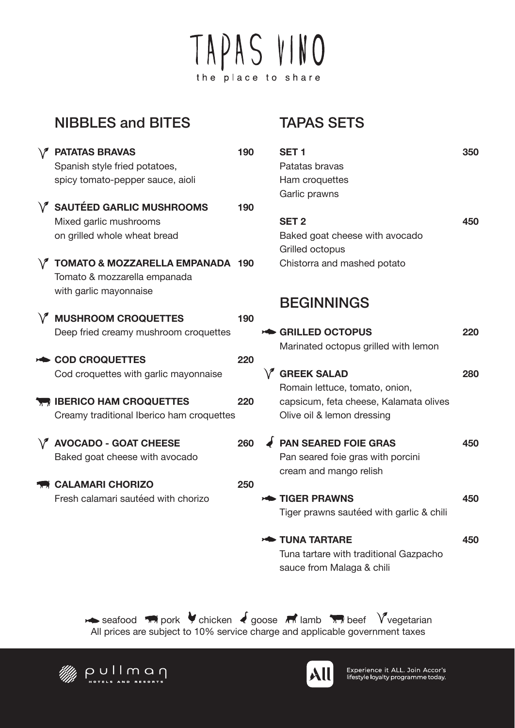# TAPAS VINO the place to share

#### NIBBLES and BITES

|           | <b>/ PATATAS BRAVAS</b><br>Spanish style fried potatoes, | 190 | S      |
|-----------|----------------------------------------------------------|-----|--------|
|           | spicy tomato-pepper sauce, aioli                         |     | ŀ<br>C |
|           | V SAUTÉED GARLIC MUSHROOMS                               | 190 |        |
|           | Mixed garlic mushrooms                                   |     | Ś      |
|           | on grilled whole wheat bread                             |     | E      |
|           |                                                          |     | Ó      |
|           | TOMATO & MOZZARELLA EMPANADA 190                         |     |        |
|           | Tomato & mozzarella empanada                             |     |        |
|           | with garlic mayonnaise                                   |     |        |
|           | $\sqrt{ }$ MUSHROOM CROQUETTES                           | 190 |        |
|           | Deep fried creamy mushroom croquettes                    |     |        |
|           |                                                          |     |        |
| <b>ND</b> | <b>COD CROQUETTES</b>                                    | 220 |        |
|           | Cod croquettes with garlic mayonnaise                    |     |        |
|           |                                                          |     |        |
|           | <b>THE IBERICO HAM CROQUETTES</b>                        | 220 |        |
|           | Creamy traditional Iberico ham croquettes                |     |        |
|           |                                                          |     |        |
|           | V AVOCADO - GOAT CHEESE                                  | 260 |        |
|           | Baked goat cheese with avocado                           |     |        |
|           | <b>THE CALAMARI CHORIZO</b>                              | 250 |        |
|           | Fresh calamari sautéed with chorizo                      |     |        |
|           |                                                          |     |        |
|           |                                                          |     |        |
|           |                                                          |     |        |

### TAPAS SETS

| SET <sub>1</sub>                         | 350 |
|------------------------------------------|-----|
| Patatas bravas                           |     |
| Ham croquettes                           |     |
| Garlic prawns                            |     |
|                                          |     |
| <b>SET 2</b>                             | 450 |
| Baked goat cheese with avocado           |     |
| Grilled octopus                          |     |
| Chistorra and mashed potato              |     |
|                                          |     |
| <b>BEGINNINGS</b>                        |     |
| <b>SAILLED OCTOPUS</b>                   | 220 |
|                                          |     |
| Marinated octopus grilled with lemon     |     |
| $\sqrt{ }$ GREEK SALAD                   | 280 |
| Romain lettuce, tomato, onion,           |     |
| capsicum, feta cheese, Kalamata olives   |     |
| Olive oil & lemon dressing               |     |
| <b>PAN SEARED FOIE GRAS</b>              | 450 |
| Pan seared foie gras with porcini        |     |
|                                          |     |
| cream and mango relish                   |     |
| <b>EXAMPLE TIGER PRAWNS</b>              | 450 |
| Tiger prawns sautéed with garlic & chili |     |
| TUNA TARTARE                             | 450 |
| Tuna tartare with traditional Gazpacho   |     |
| sauce from Malaga & chili                |     |
|                                          |     |

All prices are subject to 10% service charge and applicable government taxes seafood  $\mathbb{Z}$  pork  $\mathbb{Z}$  chicken  $\mathbb{Z}$  goose  $\mathbb{Z}$  lamb  $\mathbb{Z}$  beef Y vegetarian





Experience it ALL. Join Accor's<br>lifestyle loyalty programme today.